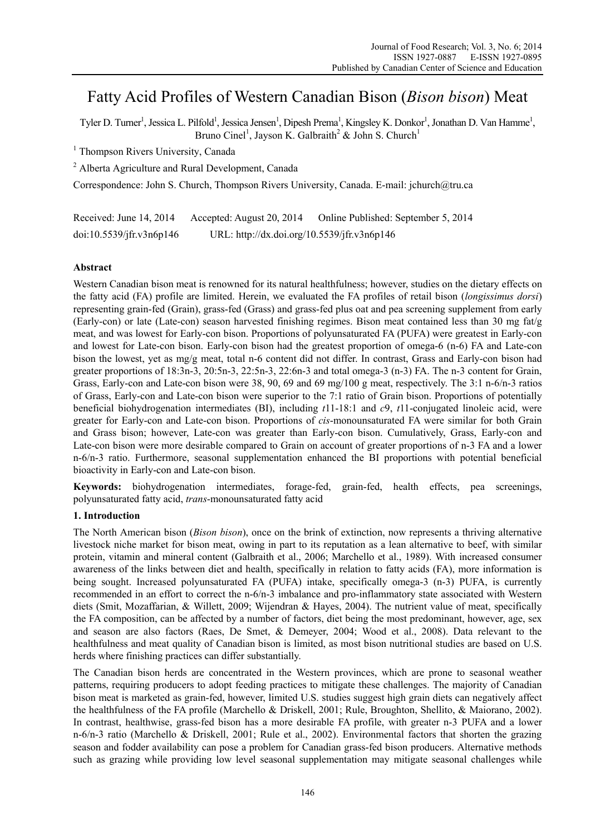# Fatty Acid Profiles of Western Canadian Bison (*Bison bison*) Meat

Tyler D. Turner<sup>1</sup>, Jessica L. Pilfold<sup>1</sup>, Jessica Jensen<sup>1</sup>, Dipesh Prema<sup>1</sup>, Kingsley K. Donkor<sup>1</sup>, Jonathan D. Van Hamme<sup>1</sup>, Bruno Cinel<sup>1</sup>, Jayson K. Galbraith<sup>2</sup> & John S. Church<sup>1</sup>

<sup>1</sup> Thompson Rivers University, Canada

<sup>2</sup> Alberta Agriculture and Rural Development, Canada

Correspondence: John S. Church, Thompson Rivers University, Canada. E-mail: jchurch@tru.ca

Received: June 14, 2014 Accepted: August 20, 2014 Online Published: September 5, 2014 doi:10.5539/jfr.v3n6p146 URL: http://dx.doi.org/10.5539/jfr.v3n6p146

# **Abstract**

Western Canadian bison meat is renowned for its natural healthfulness; however, studies on the dietary effects on the fatty acid (FA) profile are limited. Herein, we evaluated the FA profiles of retail bison (*longissimus dorsi*) representing grain-fed (Grain), grass-fed (Grass) and grass-fed plus oat and pea screening supplement from early (Early-con) or late (Late-con) season harvested finishing regimes. Bison meat contained less than 30 mg fat/g meat, and was lowest for Early-con bison. Proportions of polyunsaturated FA (PUFA) were greatest in Early-con and lowest for Late-con bison. Early-con bison had the greatest proportion of omega-6 (n-6) FA and Late-con bison the lowest, yet as mg/g meat, total n-6 content did not differ. In contrast, Grass and Early-con bison had greater proportions of 18:3n-3, 20:5n-3, 22:5n-3, 22:6n-3 and total omega-3 (n-3) FA. The n-3 content for Grain, Grass, Early-con and Late-con bison were 38, 90, 69 and 69 mg/100 g meat, respectively. The 3:1 n-6/n-3 ratios of Grass, Early-con and Late-con bison were superior to the 7:1 ratio of Grain bison. Proportions of potentially beneficial biohydrogenation intermediates (BI), including *t*11-18:1 and *c*9, *t*11-conjugated linoleic acid, were greater for Early-con and Late-con bison. Proportions of *cis*-monounsaturated FA were similar for both Grain and Grass bison; however, Late-con was greater than Early-con bison. Cumulatively, Grass, Early-con and Late-con bison were more desirable compared to Grain on account of greater proportions of n-3 FA and a lower n-6/n-3 ratio. Furthermore, seasonal supplementation enhanced the BI proportions with potential beneficial bioactivity in Early-con and Late-con bison.

**Keywords:** biohydrogenation intermediates, forage-fed, grain-fed, health effects, pea screenings, polyunsaturated fatty acid, *trans*-monounsaturated fatty acid

## **1. Introduction**

The North American bison (*Bison bison*), once on the brink of extinction, now represents a thriving alternative livestock niche market for bison meat, owing in part to its reputation as a lean alternative to beef, with similar protein, vitamin and mineral content (Galbraith et al., 2006; Marchello et al., 1989). With increased consumer awareness of the links between diet and health, specifically in relation to fatty acids (FA), more information is being sought. Increased polyunsaturated FA (PUFA) intake, specifically omega-3 (n-3) PUFA, is currently recommended in an effort to correct the n-6/n-3 imbalance and pro-inflammatory state associated with Western diets (Smit, Mozaffarian, & Willett, 2009; Wijendran & Hayes, 2004). The nutrient value of meat, specifically the FA composition, can be affected by a number of factors, diet being the most predominant, however, age, sex and season are also factors (Raes, De Smet, & Demeyer, 2004; Wood et al., 2008). Data relevant to the healthfulness and meat quality of Canadian bison is limited, as most bison nutritional studies are based on U.S. herds where finishing practices can differ substantially.

The Canadian bison herds are concentrated in the Western provinces, which are prone to seasonal weather patterns, requiring producers to adopt feeding practices to mitigate these challenges. The majority of Canadian bison meat is marketed as grain-fed, however, limited U.S. studies suggest high grain diets can negatively affect the healthfulness of the FA profile (Marchello & Driskell, 2001; Rule, Broughton, Shellito, & Maiorano, 2002). In contrast, healthwise, grass-fed bison has a more desirable FA profile, with greater n-3 PUFA and a lower n-6/n-3 ratio (Marchello & Driskell, 2001; Rule et al., 2002). Environmental factors that shorten the grazing season and fodder availability can pose a problem for Canadian grass-fed bison producers. Alternative methods such as grazing while providing low level seasonal supplementation may mitigate seasonal challenges while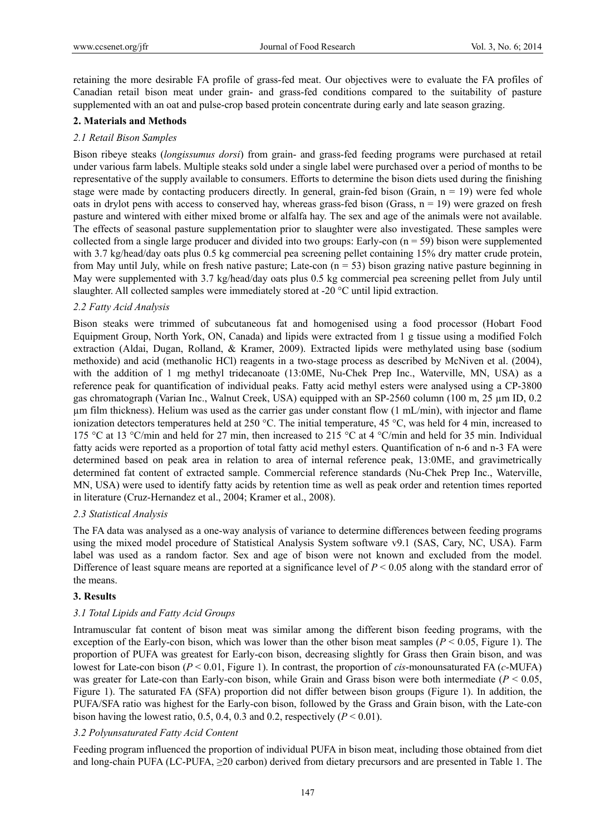retaining the more desirable FA profile of grass-fed meat. Our objectives were to evaluate the FA profiles of Canadian retail bison meat under grain- and grass-fed conditions compared to the suitability of pasture supplemented with an oat and pulse-crop based protein concentrate during early and late season grazing.

#### **2. Materials and Methods**

#### *2.1 Retail Bison Samples*

Bison ribeye steaks (*longissumus dorsi*) from grain- and grass-fed feeding programs were purchased at retail under various farm labels. Multiple steaks sold under a single label were purchased over a period of months to be representative of the supply available to consumers. Efforts to determine the bison diets used during the finishing stage were made by contacting producers directly. In general, grain-fed bison (Grain,  $n = 19$ ) were fed whole oats in drylot pens with access to conserved hay, whereas grass-fed bison (Grass,  $n = 19$ ) were grazed on fresh pasture and wintered with either mixed brome or alfalfa hay. The sex and age of the animals were not available. The effects of seasonal pasture supplementation prior to slaughter were also investigated. These samples were collected from a single large producer and divided into two groups: Early-con  $(n = 59)$  bison were supplemented with 3.7 kg/head/day oats plus 0.5 kg commercial pea screening pellet containing 15% dry matter crude protein, from May until July, while on fresh native pasture; Late-con  $(n = 53)$  bison grazing native pasture beginning in May were supplemented with 3.7 kg/head/day oats plus 0.5 kg commercial pea screening pellet from July until slaughter. All collected samples were immediately stored at -20 °C until lipid extraction.

#### *2.2 Fatty Acid Analysis*

Bison steaks were trimmed of subcutaneous fat and homogenised using a food processor (Hobart Food Equipment Group, North York, ON, Canada) and lipids were extracted from 1 g tissue using a modified Folch extraction (Aldai, Dugan, Rolland, & Kramer, 2009). Extracted lipids were methylated using base (sodium methoxide) and acid (methanolic HCl) reagents in a two-stage process as described by McNiven et al. (2004), with the addition of 1 mg methyl tridecanoate (13:0ME, Nu-Chek Prep Inc., Waterville, MN, USA) as a reference peak for quantification of individual peaks. Fatty acid methyl esters were analysed using a CP-3800 gas chromatograph (Varian Inc., Walnut Creek, USA) equipped with an SP-2560 column (100 m, 25 µm ID, 0.2 µm film thickness). Helium was used as the carrier gas under constant flow (1 mL/min), with injector and flame ionization detectors temperatures held at 250 °C. The initial temperature, 45 °C, was held for 4 min, increased to 175 °C at 13 °C/min and held for 27 min, then increased to 215 °C at 4 °C/min and held for 35 min. Individual fatty acids were reported as a proportion of total fatty acid methyl esters. Quantification of n-6 and n-3 FA were determined based on peak area in relation to area of internal reference peak, 13:0ME, and gravimetrically determined fat content of extracted sample. Commercial reference standards (Nu-Chek Prep Inc., Waterville, MN, USA) were used to identify fatty acids by retention time as well as peak order and retention times reported in literature (Cruz-Hernandez et al., 2004; Kramer et al., 2008).

#### *2.3 Statistical Analysis*

The FA data was analysed as a one-way analysis of variance to determine differences between feeding programs using the mixed model procedure of Statistical Analysis System software v9.1 (SAS, Cary, NC, USA). Farm label was used as a random factor. Sex and age of bison were not known and excluded from the model. Difference of least square means are reported at a significance level of  $P < 0.05$  along with the standard error of the means.

#### **3. Results**

## *3.1 Total Lipids and Fatty Acid Groups*

Intramuscular fat content of bison meat was similar among the different bison feeding programs, with the exception of the Early-con bison, which was lower than the other bison meat samples (*P* < 0.05, Figure 1). The proportion of PUFA was greatest for Early-con bison, decreasing slightly for Grass then Grain bison, and was lowest for Late-con bison (*P* < 0.01, Figure 1). In contrast, the proportion of *cis*-monounsaturated FA (*c*-MUFA) was greater for Late-con than Early-con bison, while Grain and Grass bison were both intermediate (*P* < 0.05, Figure 1). The saturated FA (SFA) proportion did not differ between bison groups (Figure 1). In addition, the PUFA/SFA ratio was highest for the Early-con bison, followed by the Grass and Grain bison, with the Late-con bison having the lowest ratio, 0.5, 0.4, 0.3 and 0.2, respectively  $(P < 0.01)$ .

#### *3.2 Polyunsaturated Fatty Acid Content*

Feeding program influenced the proportion of individual PUFA in bison meat, including those obtained from diet and long-chain PUFA (LC-PUFA, ≥20 carbon) derived from dietary precursors and are presented in Table 1. The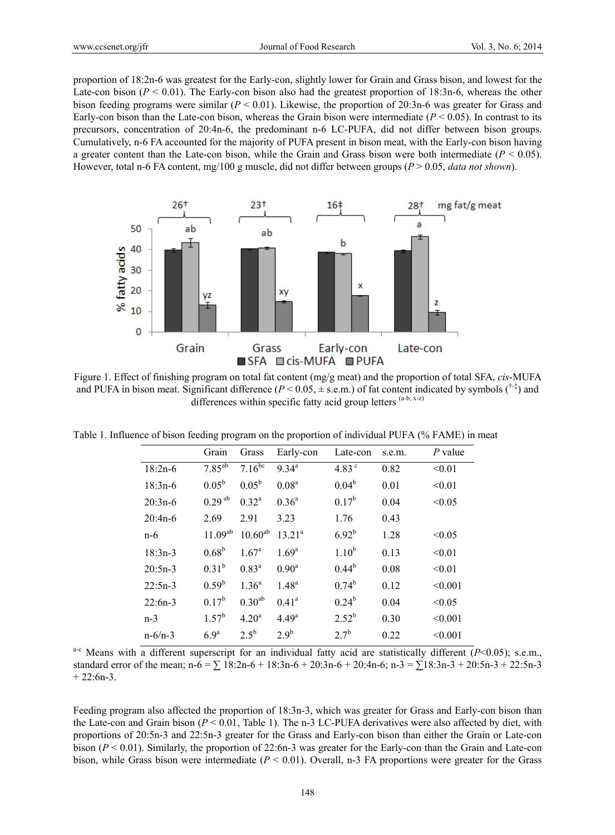proportion of 18:2n-6 was greatest for the Early-con, slightly lower for Grain and Grass bison, and lowest for the Late-con bison  $(P < 0.01)$ . The Early-con bison also had the greatest proportion of 18:3n-6, whereas the other bison feeding programs were similar (*P* < 0.01). Likewise, the proportion of 20:3n-6 was greater for Grass and Early-con bison than the Late-con bison, whereas the Grain bison were intermediate  $(P < 0.05)$ . In contrast to its precursors, concentration of 20:4n-6, the predominant n-6 LC-PUFA, did not differ between bison groups. Cumulatively, n-6 FA accounted for the majority of PUFA present in bison meat, with the Early-con bison having a greater content than the Late-con bison, while the Grain and Grass bison were both intermediate  $(P < 0.05)$ . However, total n-6 FA content, mg/100 g muscle, did not differ between groups (*P* > 0.05, *data not shown*).



Figure 1. Effect of finishing program on total fat content (mg/g meat) and the proportion of total SFA, *cis*-MUFA and PUFA in bison meat. Significant difference ( $P < 0.05$ ,  $\pm$  s.e.m.) of fat content indicated by symbols ( $\uparrow$ <sup>+ $\downarrow$ </sup>) and differences within specific fatty acid group letters (a-b; x-z)

Table 1. Influence of bison feeding program on the proportion of individual PUFA (% FAME) in meat

|               | Grain            | Grass             | Early-con         | Late-con          | s.e.m. | $P$ value |
|---------------|------------------|-------------------|-------------------|-------------------|--------|-----------|
| $18:2n-6$     | $7.85^{ab}$      | $7.16^{bc}$       | $9.34^{a}$        | 4.83 $^{\circ}$   | 0.82   | < 0.01    |
| $18:3n-6$     | $0.05^{\rm b}$   | $0.05^{\rm b}$    | 0.08 <sup>a</sup> | $0.04^{\rm b}$    | 0.01   | < 0.01    |
| $20:3n-6$     | $0.29^{ab}$      | $0.32^a$          | $0.36^{\circ}$    | $0.17^{b}$        | 0.04   | < 0.05    |
| $20:4n-6$     | 2.69             | 2.91              | 3.23              | 1.76              | 0.43   |           |
| n-6           | $11.09^{ab}$     | $10.60^{ab}$      | $13.21^a$         | $6.92^{b}$        | 1.28   | < 0.05    |
| $18:3n-3$     | $0.68^{\rm b}$   | 1.67 <sup>a</sup> | $1.69^{\rm a}$    | 1.10 <sup>b</sup> | 0.13   | < 0.01    |
| $20:5n-3$     | $0.31^{b}$       | $0.83^{\rm a}$    | $0.90^{\rm a}$    | $0.44^{b}$        | 0.08   | < 0.01    |
| $22:5n-3$     | $0.59^{\rm b}$   | $1.36^{a}$        | $1.48^{a}$        | $0.74^{b}$        | 0.12   | < 0.001   |
| $22:6n-3$     | $0.17^{b}$       | $0.30^{ab}$       | $0.41^a$          | $0.24^{b}$        | 0.04   | < 0.05    |
| $n-3$         | $1.57^{b}$       | 4.20 <sup>a</sup> | 4.49 <sup>a</sup> | $2.52^{b}$        | 0.30   | < 0.001   |
| $n - 6/n - 3$ | 6.9 <sup>a</sup> | $2.5^{b}$         | 2.9 <sup>b</sup>  | $2.7^{b}$         | 0.22   | < 0.001   |

a-c Means with a different superscript for an individual fatty acid are statistically different (*P*<0.05); s.e.m., standard error of the mean; n-6 = ∑ 18:2n-6 + 18:3n-6 + 20:3n-6 + 20:4n-6; n-3 = ∑18:3n-3 + 20:5n-3 + 22:5n-3  $+ 22:6n-3.$ 

Feeding program also affected the proportion of 18:3n-3, which was greater for Grass and Early-con bison than the Late-con and Grain bison (*P* < 0.01, Table 1). The n-3 LC-PUFA derivatives were also affected by diet, with proportions of 20:5n-3 and 22:5n-3 greater for the Grass and Early-con bison than either the Grain or Late-con bison (*P* < 0.01). Similarly, the proportion of 22:6n-3 was greater for the Early-con than the Grain and Late-con bison, while Grass bison were intermediate (*P* < 0.01). Overall, n-3 FA proportions were greater for the Grass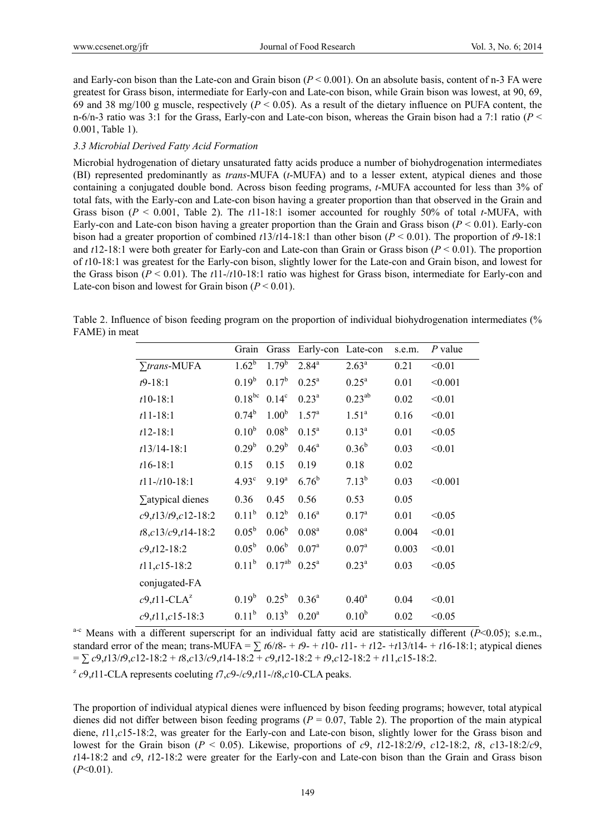and Early-con bison than the Late-con and Grain bison (*P* < 0.001). On an absolute basis, content of n-3 FA were greatest for Grass bison, intermediate for Early-con and Late-con bison, while Grain bison was lowest, at 90, 69, 69 and 38 mg/100 g muscle, respectively  $(P < 0.05)$ . As a result of the dietary influence on PUFA content, the n-6/n-3 ratio was 3:1 for the Grass, Early-con and Late-con bison, whereas the Grain bison had a 7:1 ratio (*P* < 0.001, Table 1).

#### *3.3 Microbial Derived Fatty Acid Formation*

Microbial hydrogenation of dietary unsaturated fatty acids produce a number of biohydrogenation intermediates (BI) represented predominantly as *trans*-MUFA (*t*-MUFA) and to a lesser extent, atypical dienes and those containing a conjugated double bond. Across bison feeding programs, *t*-MUFA accounted for less than 3% of total fats, with the Early-con and Late-con bison having a greater proportion than that observed in the Grain and Grass bison (*P* < 0.001, Table 2). The *t*11-18:1 isomer accounted for roughly 50% of total *t*-MUFA, with Early-con and Late-con bison having a greater proportion than the Grain and Grass bison (*P* < 0.01). Early-con bison had a greater proportion of combined *t*13/*t*14-18:1 than other bison (*P* < 0.01). The proportion of *t*9-18:1 and *t*12-18:1 were both greater for Early-con and Late-con than Grain or Grass bison (*P* < 0.01). The proportion of *t*10-18:1 was greatest for the Early-con bison, slightly lower for the Late-con and Grain bison, and lowest for the Grass bison  $(P < 0.01)$ . The  $t11$ -/ $t10$ -18:1 ratio was highest for Grass bison, intermediate for Early-con and Late-con bison and lowest for Grain bison  $(P < 0.01)$ .

Table 2. Influence of bison feeding program on the proportion of individual biohydrogenation intermediates (% FAME) in meat

|                              | Grain             | Grass             | Early-con         | Late-con          | s.e.m. | $P$ value |
|------------------------------|-------------------|-------------------|-------------------|-------------------|--------|-----------|
| $\sum$ trans-MUFA            | $1.62^{b}$        | $1.79^{b}$        | $2.84^{a}$        | $2.63^a$          | 0.21   | < 0.01    |
| $t9-18:1$                    | $0.19^{b}$        | $0.17^{b}$        | $0.25^{\rm a}$    | $0.25^{\rm a}$    | 0.01   | < 0.001   |
| $t10-18:1$                   | $0.18^{bc}$       | $0.14^c$          | $0.23^a$          | $0.23^{ab}$       | 0.02   | < 0.01    |
| $t11 - 18:1$                 | $0.74^{b}$        | 1.00 <sup>b</sup> | 1.57 <sup>a</sup> | 1.51 <sup>a</sup> | 0.16   | < 0.01    |
| $t12-18:1$                   | 0.10 <sup>b</sup> | 0.08 <sup>b</sup> | $0.15^a$          | $0.13^{a}$        | 0.01   | < 0.05    |
| $t13/14-18:1$                | 0.29 <sup>b</sup> | $0.29^b$          | $0.46^{\rm a}$    | $0.36^{\rm b}$    | 0.03   | < 0.01    |
| $t16-18:1$                   | 0.15              | 0.15              | 0.19              | 0.18              | 0.02   |           |
| $t11 - t10 - 18:1$           | 4.93 <sup>c</sup> | 9.19 <sup>a</sup> | $6.76^{b}$        | $7.13^{b}$        | 0.03   | < 0.001   |
| $\Sigma$ atypical dienes     | 0.36              | 0.45              | 0.56              | 0.53              | 0.05   |           |
| $c9, t13/t9, c12-18:2$       | $0.11^{b}$        | $0.12^b$          | $0.16^a$          | $0.17^{a}$        | 0.01   | < 0.05    |
| $t8, c13/c9, t14-18:2$       | $0.05^{\rm b}$    | $0.06^{\rm b}$    | 0.08 <sup>a</sup> | 0.08 <sup>a</sup> | 0.004  | < 0.01    |
| $c9, t12-18:2$               | $0.05^{\rm b}$    | $0.06^{b}$        | 0.07 <sup>a</sup> | 0.07 <sup>a</sup> | 0.003  | < 0.01    |
| $t11, c15-18:2$              | $0.11^{b}$        | $0.17^{ab}$       | $0.25^{\rm a}$    | $0.23^{\rm a}$    | 0.03   | < 0.05    |
| conjugated-FA                |                   |                   |                   |                   |        |           |
| $c9,t11\text{-}\text{CLA}^z$ | $0.19^b$          | $0.25^{\rm b}$    | $0.36^{a}$        | $0.40^{\rm a}$    | 0.04   | < 0.01    |
| $c9, t11, c15-18:3$          | $0.11^{b}$        | $0.13^{b}$        | 0.20 <sup>a</sup> | $0.10^{b}$        | 0.02   | < 0.05    |

<sup>a-c</sup> Means with a different superscript for an individual fatty acid are statistically different ( $\overline{P}$ <0.05); s.e.m., standard error of the mean; trans-MUFA =  $\sum t6/t8 - t9 - t10 - t11 - t12 - t13/t14 - t16 - 18:1$ ; atypical dienes  $= \sum c9, t13/t9, c12-18:2 + t8, c13/c9, t14-18:2 + c9, t12-18:2 + t9, c12-18:2 + t11, c15-18:2.$ 

 $^{2}$  *c*9,*t*11-CLA represents coeluting *t*7,*c*9-/*c*9,*t*11-/*t*8,*c*10-CLA peaks.

The proportion of individual atypical dienes were influenced by bison feeding programs; however, total atypical dienes did not differ between bison feeding programs (*P* = 0.07, Table 2). The proportion of the main atypical diene,  $t11$ ,*c*15-18:2, was greater for the Early-con and Late-con bison, slightly lower for the Grass bison and lowest for the Grain bison (*P* < 0.05). Likewise, proportions of *c*9, *t*12-18:2/*t*9, *c*12-18:2, *t*8, *c*13-18:2/*c*9, *t*14-18:2 and *c*9, *t*12-18:2 were greater for the Early-con and Late-con bison than the Grain and Grass bison  $(P<0.01)$ .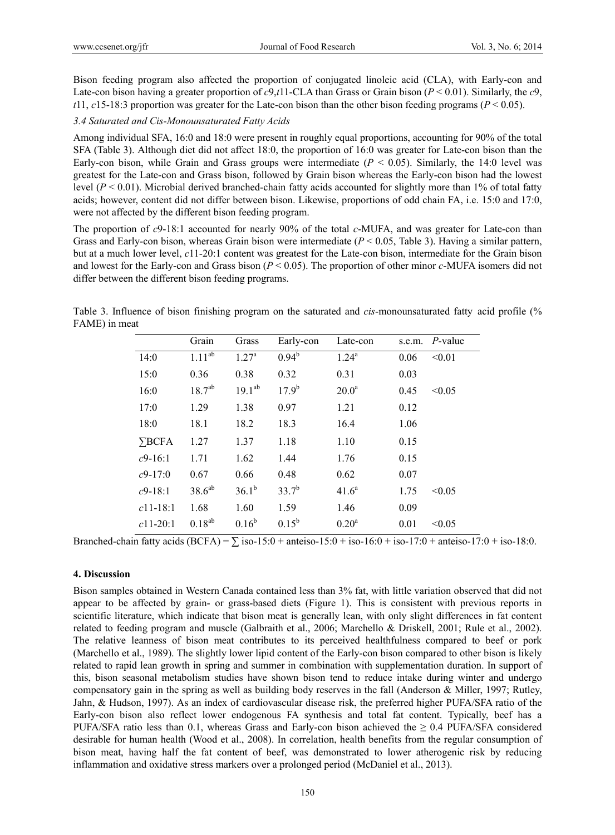Bison feeding program also affected the proportion of conjugated linoleic acid (CLA), with Early-con and Late-con bison having a greater proportion of *c*9,*t*11-CLA than Grass or Grain bison (*P* < 0.01). Similarly, the *c*9, *t*11, *c*15-18:3 proportion was greater for the Late-con bison than the other bison feeding programs ( $P < 0.05$ ).

#### *3.4 Saturated and Cis-Monounsaturated Fatty Acids*

Among individual SFA, 16:0 and 18:0 were present in roughly equal proportions, accounting for 90% of the total SFA (Table 3). Although diet did not affect 18:0, the proportion of 16:0 was greater for Late-con bison than the Early-con bison, while Grain and Grass groups were intermediate  $(P < 0.05)$ . Similarly, the 14:0 level was greatest for the Late-con and Grass bison, followed by Grain bison whereas the Early-con bison had the lowest level  $(P < 0.01)$ . Microbial derived branched-chain fatty acids accounted for slightly more than 1% of total fatty acids; however, content did not differ between bison. Likewise, proportions of odd chain FA, i.e. 15:0 and 17:0, were not affected by the different bison feeding program.

The proportion of *c*9-18:1 accounted for nearly 90% of the total *c*-MUFA, and was greater for Late-con than Grass and Early-con bison, whereas Grain bison were intermediate (*P* < 0.05, Table 3). Having a similar pattern, but at a much lower level, *c*11-20:1 content was greatest for the Late-con bison, intermediate for the Grain bison and lowest for the Early-con and Grass bison (*P* < 0.05). The proportion of other minor *c*-MUFA isomers did not differ between the different bison feeding programs.

Table 3. Influence of bison finishing program on the saturated and *cis*-monounsaturated fatty acid profile (% FAME) in meat

|               | Grain       | Grass             | Early-con      | Late-con          | s.e.m. | P-value |
|---------------|-------------|-------------------|----------------|-------------------|--------|---------|
| 14:0          | $1.11^{ab}$ | 1.27 <sup>a</sup> | $0.94^{b}$     | $1.24^{a}$        | 0.06   | < 0.01  |
| 15:0          | 0.36        | 0.38              | 0.32           | 0.31              | 0.03   |         |
| 16:0          | $18.7^{ab}$ | $19.1^{ab}$       | $17.9^{b}$     | 20.0 <sup>a</sup> | 0.45   | < 0.05  |
| 17:0          | 1.29        | 1.38              | 0.97           | 1.21              | 0.12   |         |
| 18:0          | 18.1        | 18.2              | 18.3           | 16.4              | 1.06   |         |
| $\Sigma$ BCFA | 1.27        | 1.37              | 1.18           | 1.10              | 0.15   |         |
| $c9-16:1$     | 1.71        | 1.62              | 1.44           | 1.76              | 0.15   |         |
| $c9-17:0$     | 0.67        | 0.66              | 0.48           | 0.62              | 0.07   |         |
| $c$ 9-18:1    | $38.6^{ab}$ | $36.1^{b}$        | $33.7^{b}$     | $41.6^a$          | 1.75   | < 0.05  |
| $c11-18:1$    | 1.68        | 1.60              | 1.59           | 1.46              | 0.09   |         |
| $c11-20:1$    | $0.18^{ab}$ | $0.16^{b}$        | $0.15^{\rm b}$ | 0.20 <sup>a</sup> | 0.01   | < 0.05  |

Branched-chain fatty acids  $(BCFA) = \sum$  iso-15:0 + anteiso-15:0 + iso-16:0 + iso-17:0 + anteiso-17:0 + iso-18:0.

#### **4. Discussion**

Bison samples obtained in Western Canada contained less than 3% fat, with little variation observed that did not appear to be affected by grain- or grass-based diets (Figure 1). This is consistent with previous reports in scientific literature, which indicate that bison meat is generally lean, with only slight differences in fat content related to feeding program and muscle (Galbraith et al., 2006; Marchello & Driskell, 2001; Rule et al., 2002). The relative leanness of bison meat contributes to its perceived healthfulness compared to beef or pork (Marchello et al., 1989). The slightly lower lipid content of the Early-con bison compared to other bison is likely related to rapid lean growth in spring and summer in combination with supplementation duration. In support of this, bison seasonal metabolism studies have shown bison tend to reduce intake during winter and undergo compensatory gain in the spring as well as building body reserves in the fall (Anderson & Miller, 1997; Rutley, Jahn, & Hudson, 1997). As an index of cardiovascular disease risk, the preferred higher PUFA/SFA ratio of the Early-con bison also reflect lower endogenous FA synthesis and total fat content. Typically, beef has a PUFA/SFA ratio less than 0.1, whereas Grass and Early-con bison achieved the  $\geq 0.4$  PUFA/SFA considered desirable for human health (Wood et al., 2008). In correlation, health benefits from the regular consumption of bison meat, having half the fat content of beef, was demonstrated to lower atherogenic risk by reducing inflammation and oxidative stress markers over a prolonged period (McDaniel et al., 2013).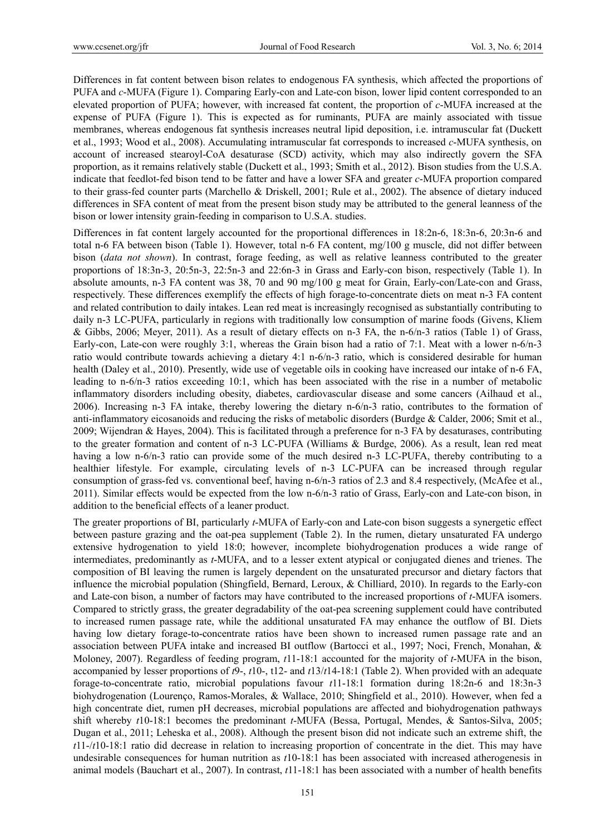Differences in fat content between bison relates to endogenous FA synthesis, which affected the proportions of PUFA and *c*-MUFA (Figure 1). Comparing Early-con and Late-con bison, lower lipid content corresponded to an elevated proportion of PUFA; however, with increased fat content, the proportion of *c*-MUFA increased at the expense of PUFA (Figure 1). This is expected as for ruminants, PUFA are mainly associated with tissue membranes, whereas endogenous fat synthesis increases neutral lipid deposition, i.e. intramuscular fat (Duckett et al., 1993; Wood et al., 2008). Accumulating intramuscular fat corresponds to increased *c*-MUFA synthesis, on account of increased stearoyl-CoA desaturase (SCD) activity, which may also indirectly govern the SFA proportion, as it remains relatively stable (Duckett et al., 1993; Smith et al., 2012). Bison studies from the U.S.A. indicate that feedlot-fed bison tend to be fatter and have a lower SFA and greater *c*-MUFA proportion compared to their grass-fed counter parts (Marchello & Driskell, 2001; Rule et al., 2002). The absence of dietary induced differences in SFA content of meat from the present bison study may be attributed to the general leanness of the bison or lower intensity grain-feeding in comparison to U.S.A. studies.

Differences in fat content largely accounted for the proportional differences in 18:2n-6, 18:3n-6, 20:3n-6 and total n-6 FA between bison (Table 1). However, total n-6 FA content, mg/100 g muscle, did not differ between bison (*data not shown*). In contrast, forage feeding, as well as relative leanness contributed to the greater proportions of 18:3n-3, 20:5n-3, 22:5n-3 and 22:6n-3 in Grass and Early-con bison, respectively (Table 1). In absolute amounts, n-3 FA content was 38, 70 and 90 mg/100 g meat for Grain, Early-con/Late-con and Grass, respectively. These differences exemplify the effects of high forage-to-concentrate diets on meat n-3 FA content and related contribution to daily intakes. Lean red meat is increasingly recognised as substantially contributing to daily n-3 LC-PUFA, particularly in regions with traditionally low consumption of marine foods (Givens, Kliem & Gibbs, 2006; Meyer, 2011). As a result of dietary effects on n-3 FA, the n-6/n-3 ratios (Table 1) of Grass, Early-con, Late-con were roughly 3:1, whereas the Grain bison had a ratio of 7:1. Meat with a lower n-6/n-3 ratio would contribute towards achieving a dietary 4:1 n-6/n-3 ratio, which is considered desirable for human health (Daley et al., 2010). Presently, wide use of vegetable oils in cooking have increased our intake of n-6 FA, leading to n-6/n-3 ratios exceeding 10:1, which has been associated with the rise in a number of metabolic inflammatory disorders including obesity, diabetes, cardiovascular disease and some cancers (Ailhaud et al., 2006). Increasing n-3 FA intake, thereby lowering the dietary n-6/n-3 ratio, contributes to the formation of anti-inflammatory eicosanoids and reducing the risks of metabolic disorders (Burdge & Calder, 2006; Smit et al., 2009; Wijendran & Hayes, 2004). This is facilitated through a preference for n-3 FA by desaturases, contributing to the greater formation and content of n-3 LC-PUFA (Williams & Burdge, 2006). As a result, lean red meat having a low n-6/n-3 ratio can provide some of the much desired n-3 LC-PUFA, thereby contributing to a healthier lifestyle. For example, circulating levels of n-3 LC-PUFA can be increased through regular consumption of grass-fed vs. conventional beef, having n-6/n-3 ratios of 2.3 and 8.4 respectively, (McAfee et al., 2011). Similar effects would be expected from the low n-6/n-3 ratio of Grass, Early-con and Late-con bison, in addition to the beneficial effects of a leaner product.

The greater proportions of BI, particularly *t*-MUFA of Early-con and Late-con bison suggests a synergetic effect between pasture grazing and the oat-pea supplement (Table 2). In the rumen, dietary unsaturated FA undergo extensive hydrogenation to yield 18:0; however, incomplete biohydrogenation produces a wide range of intermediates, predominantly as *t*-MUFA, and to a lesser extent atypical or conjugated dienes and trienes. The composition of BI leaving the rumen is largely dependent on the unsaturated precursor and dietary factors that influence the microbial population (Shingfield, Bernard, Leroux, & Chilliard, 2010). In regards to the Early-con and Late-con bison, a number of factors may have contributed to the increased proportions of *t*-MUFA isomers. Compared to strictly grass, the greater degradability of the oat-pea screening supplement could have contributed to increased rumen passage rate, while the additional unsaturated FA may enhance the outflow of BI. Diets having low dietary forage-to-concentrate ratios have been shown to increased rumen passage rate and an association between PUFA intake and increased BI outflow (Bartocci et al., 1997; Noci, French, Monahan, & Moloney, 2007). Regardless of feeding program, *t*11-18:1 accounted for the majority of *t*-MUFA in the bison, accompanied by lesser proportions of *t*9-, *t*10-, t12- and *t*13/*t*14-18:1 (Table 2). When provided with an adequate forage-to-concentrate ratio, microbial populations favour *t*11-18:1 formation during 18:2n-6 and 18:3n-3 biohydrogenation (Lourenço, Ramos-Morales, & Wallace, 2010; Shingfield et al., 2010). However, when fed a high concentrate diet, rumen pH decreases, microbial populations are affected and biohydrogenation pathways shift whereby *t*10-18:1 becomes the predominant *t*-MUFA (Bessa, Portugal, Mendes, & Santos-Silva, 2005; Dugan et al., 2011; Leheska et al., 2008). Although the present bison did not indicate such an extreme shift, the *t*11-/*t*10-18:1 ratio did decrease in relation to increasing proportion of concentrate in the diet. This may have undesirable consequences for human nutrition as *t*10-18:1 has been associated with increased atherogenesis in animal models (Bauchart et al., 2007). In contrast, *t*11-18:1 has been associated with a number of health benefits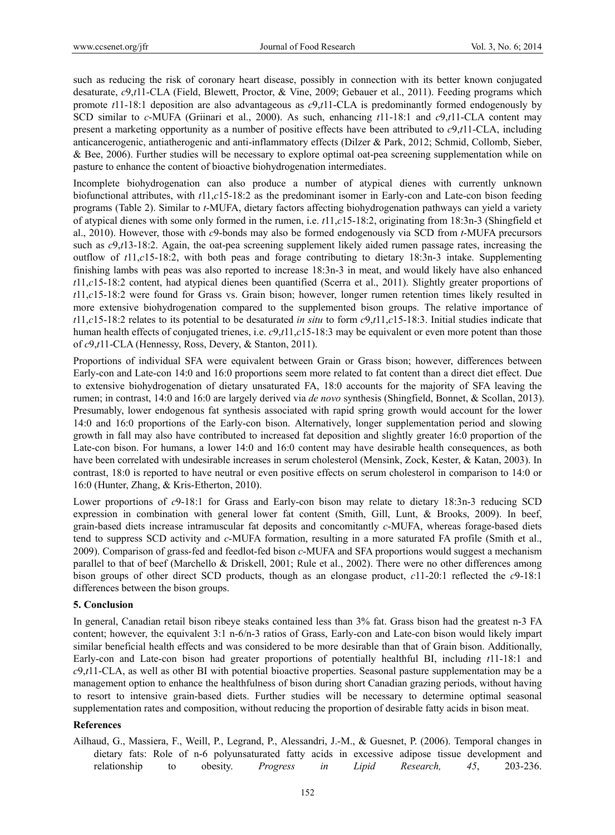such as reducing the risk of coronary heart disease, possibly in connection with its better known conjugated desaturate, *c*9,*t*11-CLA (Field, Blewett, Proctor, & Vine, 2009; Gebauer et al., 2011). Feeding programs which promote *t*11-18:1 deposition are also advantageous as *c*9,*t*11-CLA is predominantly formed endogenously by SCD similar to *c*-MUFA (Griinari et al., 2000). As such, enhancing *t*11-18:1 and *c*9,*t*11-CLA content may present a marketing opportunity as a number of positive effects have been attributed to *c*9,*t*11-CLA, including anticancerogenic, antiatherogenic and anti-inflammatory effects (Dilzer & Park, 2012; Schmid, Collomb, Sieber, & Bee, 2006). Further studies will be necessary to explore optimal oat-pea screening supplementation while on pasture to enhance the content of bioactive biohydrogenation intermediates.

Incomplete biohydrogenation can also produce a number of atypical dienes with currently unknown biofunctional attributes, with *t*11,*c*15-18:2 as the predominant isomer in Early-con and Late-con bison feeding programs (Table 2). Similar to *t*-MUFA, dietary factors affecting biohydrogenation pathways can yield a variety of atypical dienes with some only formed in the rumen, i.e. *t*11,*c*15-18:2, originating from 18:3n-3 (Shingfield et al., 2010). However, those with *c*9-bonds may also be formed endogenously via SCD from *t*-MUFA precursors such as  $c$ 9,*t*13-18:2. Again, the oat-pea screening supplement likely aided rumen passage rates, increasing the outflow of *t*11,*c*15-18:2, with both peas and forage contributing to dietary 18:3n-3 intake. Supplementing finishing lambs with peas was also reported to increase 18:3n-3 in meat, and would likely have also enhanced *t*11,*c*15-18:2 content, had atypical dienes been quantified (Scerra et al., 2011). Slightly greater proportions of *t*11,*c*15-18:2 were found for Grass vs. Grain bison; however, longer rumen retention times likely resulted in more extensive biohydrogenation compared to the supplemented bison groups. The relative importance of *t*11,*c*15-18:2 relates to its potential to be desaturated *in situ* to form *c*9,*t*11,*c*15-18:3. Initial studies indicate that human health effects of conjugated trienes, i.e. *c*9,*t*11,*c*15-18:3 may be equivalent or even more potent than those of *c*9,*t*11-CLA (Hennessy, Ross, Devery, & Stanton, 2011).

Proportions of individual SFA were equivalent between Grain or Grass bison; however, differences between Early-con and Late-con 14:0 and 16:0 proportions seem more related to fat content than a direct diet effect. Due to extensive biohydrogenation of dietary unsaturated FA, 18:0 accounts for the majority of SFA leaving the rumen; in contrast, 14:0 and 16:0 are largely derived via *de novo* synthesis (Shingfield, Bonnet, & Scollan, 2013). Presumably, lower endogenous fat synthesis associated with rapid spring growth would account for the lower 14:0 and 16:0 proportions of the Early-con bison. Alternatively, longer supplementation period and slowing growth in fall may also have contributed to increased fat deposition and slightly greater 16:0 proportion of the Late-con bison. For humans, a lower 14:0 and 16:0 content may have desirable health consequences, as both have been correlated with undesirable increases in serum cholesterol (Mensink, Zock, Kester, & Katan, 2003). In contrast, 18:0 is reported to have neutral or even positive effects on serum cholesterol in comparison to 14:0 or 16:0 (Hunter, Zhang, & Kris-Etherton, 2010).

Lower proportions of *c*9-18:1 for Grass and Early-con bison may relate to dietary 18:3n-3 reducing SCD expression in combination with general lower fat content (Smith, Gill, Lunt, & Brooks, 2009). In beef, grain-based diets increase intramuscular fat deposits and concomitantly *c*-MUFA, whereas forage-based diets tend to suppress SCD activity and *c*-MUFA formation, resulting in a more saturated FA profile (Smith et al., 2009). Comparison of grass-fed and feedlot-fed bison *c*-MUFA and SFA proportions would suggest a mechanism parallel to that of beef (Marchello & Driskell, 2001; Rule et al., 2002). There were no other differences among bison groups of other direct SCD products, though as an elongase product, *c*11-20:1 reflected the *c*9-18:1 differences between the bison groups.

## **5. Conclusion**

In general, Canadian retail bison ribeye steaks contained less than 3% fat. Grass bison had the greatest n-3 FA content; however, the equivalent 3:1 n-6/n-3 ratios of Grass, Early-con and Late-con bison would likely impart similar beneficial health effects and was considered to be more desirable than that of Grain bison. Additionally, Early-con and Late-con bison had greater proportions of potentially healthful BI, including *t*11-18:1 and *c*9,*t*11-CLA, as well as other BI with potential bioactive properties. Seasonal pasture supplementation may be a management option to enhance the healthfulness of bison during short Canadian grazing periods, without having to resort to intensive grain-based diets. Further studies will be necessary to determine optimal seasonal supplementation rates and composition, without reducing the proportion of desirable fatty acids in bison meat.

## **References**

Ailhaud, G., Massiera, F., Weill, P., Legrand, P., Alessandri, J.-M., & Guesnet, P. (2006). Temporal changes in dietary fats: Role of n-6 polyunsaturated fatty acids in excessive adipose tissue development and relationship to obesity. *Progress in Lipid Research, 45*, 203-236.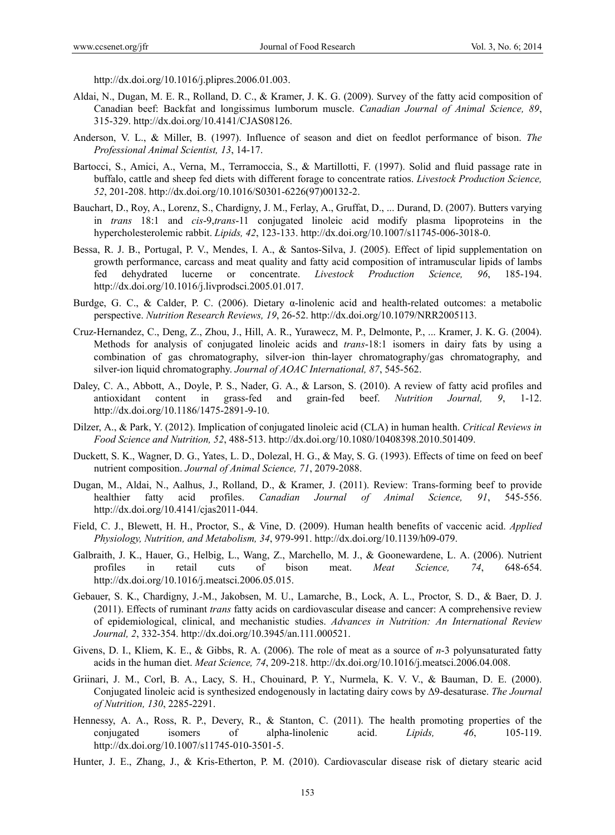http://dx.doi.org/10.1016/j.plipres.2006.01.003.

- Aldai, N., Dugan, M. E. R., Rolland, D. C., & Kramer, J. K. G. (2009). Survey of the fatty acid composition of Canadian beef: Backfat and longissimus lumborum muscle. *Canadian Journal of Animal Science, 89*, 315-329. http://dx.doi.org/10.4141/CJAS08126.
- Anderson, V. L., & Miller, B. (1997). Influence of season and diet on feedlot performance of bison. *The Professional Animal Scientist, 13*, 14-17.
- Bartocci, S., Amici, A., Verna, M., Terramoccia, S., & Martillotti, F. (1997). Solid and fluid passage rate in buffalo, cattle and sheep fed diets with different forage to concentrate ratios. *Livestock Production Science, 52*, 201-208. http://dx.doi.org/10.1016/S0301-6226(97)00132-2.
- Bauchart, D., Roy, A., Lorenz, S., Chardigny, J. M., Ferlay, A., Gruffat, D., ... Durand, D. (2007). Butters varying in *trans* 18:1 and *cis*-9,*trans*-11 conjugated linoleic acid modify plasma lipoproteins in the hypercholesterolemic rabbit. *Lipids, 42*, 123-133. http://dx.doi.org/10.1007/s11745-006-3018-0.
- Bessa, R. J. B., Portugal, P. V., Mendes, I. A., & Santos-Silva, J. (2005). Effect of lipid supplementation on growth performance, carcass and meat quality and fatty acid composition of intramuscular lipids of lambs fed dehydrated lucerne or concentrate. *Livestock Production Science, 96*, 185-194. http://dx.doi.org/10.1016/j.livprodsci.2005.01.017.
- Burdge, G. C., & Calder, P. C. (2006). Dietary α-linolenic acid and health-related outcomes: a metabolic perspective. *Nutrition Research Reviews, 19*, 26-52. http://dx.doi.org/10.1079/NRR2005113.
- Cruz-Hernandez, C., Deng, Z., Zhou, J., Hill, A. R., Yurawecz, M. P., Delmonte, P., ... Kramer, J. K. G. (2004). Methods for analysis of conjugated linoleic acids and *trans*-18:1 isomers in dairy fats by using a combination of gas chromatography, silver-ion thin-layer chromatography/gas chromatography, and silver-ion liquid chromatography. *Journal of AOAC International, 87*, 545-562.
- Daley, C. A., Abbott, A., Doyle, P. S., Nader, G. A., & Larson, S. (2010). A review of fatty acid profiles and antioxidant content in grass-fed and grain-fed beef. *Nutrition Journal, 9*, 1-12. http://dx.doi.org/10.1186/1475-2891-9-10.
- Dilzer, A., & Park, Y. (2012). Implication of conjugated linoleic acid (CLA) in human health. *Critical Reviews in Food Science and Nutrition, 52*, 488-513. http://dx.doi.org/10.1080/10408398.2010.501409.
- Duckett, S. K., Wagner, D. G., Yates, L. D., Dolezal, H. G., & May, S. G. (1993). Effects of time on feed on beef nutrient composition. *Journal of Animal Science, 71*, 2079-2088.
- Dugan, M., Aldai, N., Aalhus, J., Rolland, D., & Kramer, J. (2011). Review: Trans-forming beef to provide healthier fatty acid profiles. *Canadian Journal of Animal Science, 91*, 545-556. http://dx.doi.org/10.4141/cjas2011-044.
- Field, C. J., Blewett, H. H., Proctor, S., & Vine, D. (2009). Human health benefits of vaccenic acid. *Applied Physiology, Nutrition, and Metabolism, 34*, 979-991. http://dx.doi.org/10.1139/h09-079.
- Galbraith, J. K., Hauer, G., Helbig, L., Wang, Z., Marchello, M. J., & Goonewardene, L. A. (2006). Nutrient profiles in retail cuts of bison meat. *Meat Science, 74*, 648-654. http://dx.doi.org/10.1016/j.meatsci.2006.05.015.
- Gebauer, S. K., Chardigny, J.-M., Jakobsen, M. U., Lamarche, B., Lock, A. L., Proctor, S. D., & Baer, D. J. (2011). Effects of ruminant *trans* fatty acids on cardiovascular disease and cancer: A comprehensive review of epidemiological, clinical, and mechanistic studies. *Advances in Nutrition: An International Review Journal, 2*, 332-354. http://dx.doi.org/10.3945/an.111.000521.
- Givens, D. I., Kliem, K. E., & Gibbs, R. A. (2006). The role of meat as a source of *n*-3 polyunsaturated fatty acids in the human diet. *Meat Science, 74*, 209-218. http://dx.doi.org/10.1016/j.meatsci.2006.04.008.
- Griinari, J. M., Corl, B. A., Lacy, S. H., Chouinard, P. Y., Nurmela, K. V. V., & Bauman, D. E. (2000). Conjugated linoleic acid is synthesized endogenously in lactating dairy cows by Δ9-desaturase. *The Journal of Nutrition, 130*, 2285-2291.
- Hennessy, A. A., Ross, R. P., Devery, R., & Stanton, C. (2011). The health promoting properties of the conjugated isomers of alpha-linolenic acid. *Lipids, 46*, 105-119. http://dx.doi.org/10.1007/s11745-010-3501-5.
- Hunter, J. E., Zhang, J., & Kris-Etherton, P. M. (2010). Cardiovascular disease risk of dietary stearic acid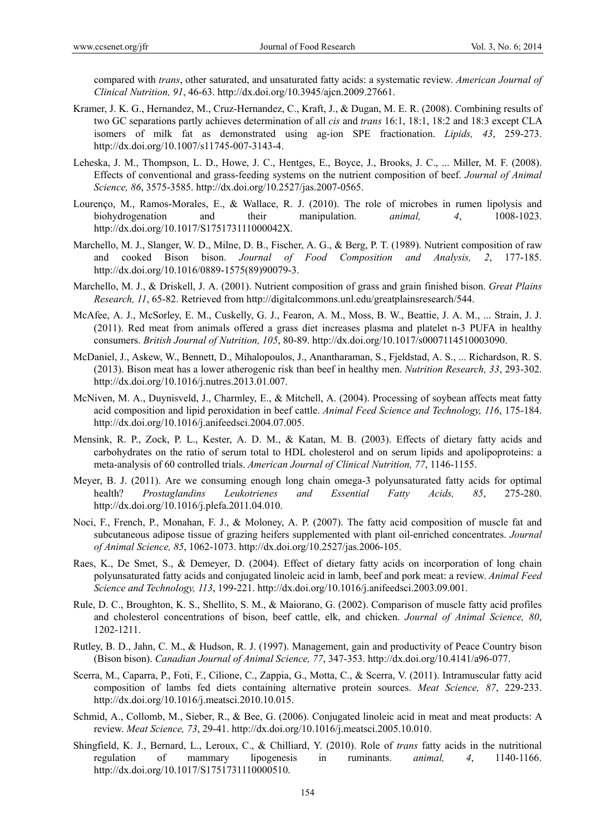compared with *trans*, other saturated, and unsaturated fatty acids: a systematic review. *American Journal of Clinical Nutrition, 91*, 46-63. http://dx.doi.org/10.3945/ajcn.2009.27661.

- Kramer, J. K. G., Hernandez, M., Cruz-Hernandez, C., Kraft, J., & Dugan, M. E. R. (2008). Combining results of two GC separations partly achieves determination of all *cis* and *trans* 16:1, 18:1, 18:2 and 18:3 except CLA isomers of milk fat as demonstrated using ag-ion SPE fractionation. *Lipids, 43*, 259-273. http://dx.doi.org/10.1007/s11745-007-3143-4.
- Leheska, J. M., Thompson, L. D., Howe, J. C., Hentges, E., Boyce, J., Brooks, J. C., ... Miller, M. F. (2008). Effects of conventional and grass-feeding systems on the nutrient composition of beef. *Journal of Animal Science, 86*, 3575-3585. http://dx.doi.org/10.2527/jas.2007-0565.
- Lourenço, M., Ramos-Morales, E., & Wallace, R. J. (2010). The role of microbes in rumen lipolysis and biohydrogenation and their manipulation. *animal, 4*, 1008-1023. http://dx.doi.org/10.1017/S175173111000042X.
- Marchello, M. J., Slanger, W. D., Milne, D. B., Fischer, A. G., & Berg, P. T. (1989). Nutrient composition of raw and cooked Bison bison. *Journal of Food Composition and Analysis, 2*, 177-185. http://dx.doi.org/10.1016/0889-1575(89)90079-3.
- Marchello, M. J., & Driskell, J. A. (2001). Nutrient composition of grass and grain finished bison. *Great Plains Research, 11*, 65-82. Retrieved from http://digitalcommons.unl.edu/greatplainsresearch/544.
- McAfee, A. J., McSorley, E. M., Cuskelly, G. J., Fearon, A. M., Moss, B. W., Beattie, J. A. M., ... Strain, J. J. (2011). Red meat from animals offered a grass diet increases plasma and platelet n-3 PUFA in healthy consumers. *British Journal of Nutrition, 105*, 80-89. http://dx.doi.org/10.1017/s0007114510003090.
- McDaniel, J., Askew, W., Bennett, D., Mihalopoulos, J., Anantharaman, S., Fjeldstad, A. S., ... Richardson, R. S. (2013). Bison meat has a lower atherogenic risk than beef in healthy men. *Nutrition Research, 33*, 293-302. http://dx.doi.org/10.1016/j.nutres.2013.01.007.
- McNiven, M. A., Duynisveld, J., Charmley, E., & Mitchell, A. (2004). Processing of soybean affects meat fatty acid composition and lipid peroxidation in beef cattle. *Animal Feed Science and Technology, 116*, 175-184. http://dx.doi.org/10.1016/j.anifeedsci.2004.07.005.
- Mensink, R. P., Zock, P. L., Kester, A. D. M., & Katan, M. B. (2003). Effects of dietary fatty acids and carbohydrates on the ratio of serum total to HDL cholesterol and on serum lipids and apolipoproteins: a meta-analysis of 60 controlled trials. *American Journal of Clinical Nutrition, 77*, 1146-1155.
- Meyer, B. J. (2011). Are we consuming enough long chain omega-3 polyunsaturated fatty acids for optimal health? *Prostaglandins Leukotrienes and Essential Fatty Acids, 85*, 275-280. http://dx.doi.org/10.1016/j.plefa.2011.04.010.
- Noci, F., French, P., Monahan, F. J., & Moloney, A. P. (2007). The fatty acid composition of muscle fat and subcutaneous adipose tissue of grazing heifers supplemented with plant oil-enriched concentrates. *Journal of Animal Science, 85*, 1062-1073. http://dx.doi.org/10.2527/jas.2006-105.
- Raes, K., De Smet, S., & Demeyer, D. (2004). Effect of dietary fatty acids on incorporation of long chain polyunsaturated fatty acids and conjugated linoleic acid in lamb, beef and pork meat: a review. *Animal Feed Science and Technology, 113*, 199-221. http://dx.doi.org/10.1016/j.anifeedsci.2003.09.001.
- Rule, D. C., Broughton, K. S., Shellito, S. M., & Maiorano, G. (2002). Comparison of muscle fatty acid profiles and cholesterol concentrations of bison, beef cattle, elk, and chicken. *Journal of Animal Science, 80*, 1202-1211.
- Rutley, B. D., Jahn, C. M., & Hudson, R. J. (1997). Management, gain and productivity of Peace Country bison (Bison bison). *Canadian Journal of Animal Science, 77*, 347-353. http://dx.doi.org/10.4141/a96-077.
- Scerra, M., Caparra, P., Foti, F., Cilione, C., Zappia, G., Motta, C., & Scerra, V. (2011). Intramuscular fatty acid composition of lambs fed diets containing alternative protein sources. *Meat Science, 87*, 229-233. http://dx.doi.org/10.1016/j.meatsci.2010.10.015.
- Schmid, A., Collomb, M., Sieber, R., & Bee, G. (2006). Conjugated linoleic acid in meat and meat products: A review. *Meat Science, 73*, 29-41. http://dx.doi.org/10.1016/j.meatsci.2005.10.010.
- Shingfield, K. J., Bernard, L., Leroux, C., & Chilliard, Y. (2010). Role of *trans* fatty acids in the nutritional regulation of mammary lipogenesis in ruminants. *animal, 4*, 1140-1166. http://dx.doi.org/10.1017/S1751731110000510.